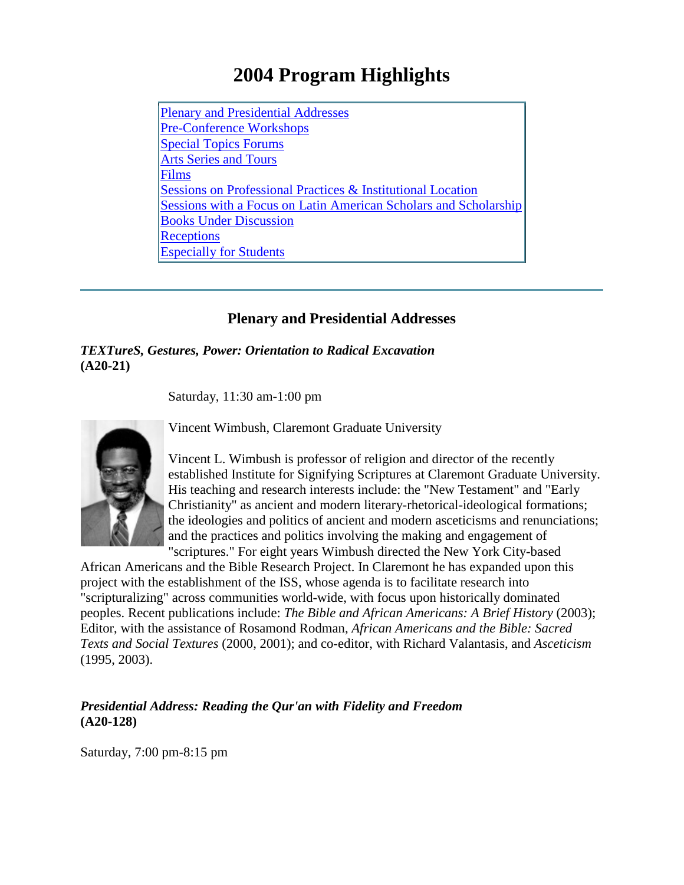# **2004 Program Highlights**

Plenary and [Presidential](#page-0-0) Addresses [Pre-Conference](#page-2-0) Workshops Special Topics [Forums](#page-4-0)  Arts Series [and Tours](#page-12-0) [Films](#page-13-0) Sessions on [Professional](#page-15-0) Practices & Institutional Location [Sessions with a Focus on Latin American Scholars and Scholarship](#page-17-0) [Books Under Discussion](#page-19-0) **[Receptions](#page-20-0) [Especially](#page-21-0) for Students** 

# **Plenary and Presidential Addresses**

<span id="page-0-0"></span>*TEXTureS, Gestures, Power: Orientation to Radical Excavation* **(A20-21)**

Saturday, 11:30 am-1:00 pm

Vincent Wimbush, Claremont Graduate University

Vincent L. Wimbush is professor of religion and director of the recently established Institute for Signifying Scriptures at Claremont Graduate University. His teaching and research interests include: the "New Testament" and "Early Christianity" as ancient and modern literary-rhetorical-ideological formations; the ideologies and politics of ancient and modern asceticisms and renunciations; and the practices and politics involving the making and engagement of "scriptures." For eight years Wimbush directed the New York City-based

African Americans and the Bible Research Project. In Claremont he has expanded upon this project with the establishment of the ISS, whose agenda is to facilitate research into "scripturalizing" across communities world-wide, with focus upon historically dominated peoples. Recent publications include: *The Bible and African Americans: A Brief History* (2003); Editor, with the assistance of Rosamond Rodman, *African Americans and the Bible: Sacred Texts and Social Textures* (2000, 2001); and co-editor, with Richard Valantasis, and *Asceticism* (1995, 2003).

*Presidential Address: Reading the Qur'an with Fidelity and Freedom* **(A20-128)**

Saturday, 7:00 pm-8:15 pm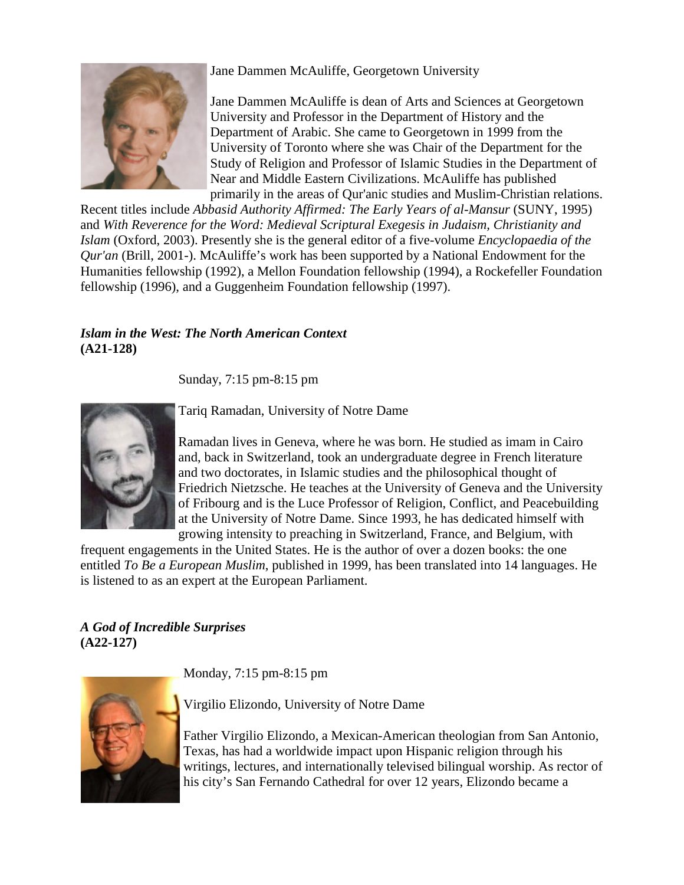

Jane Dammen McAuliffe, Georgetown University

Jane Dammen McAuliffe is dean of Arts and Sciences at Georgetown University and Professor in the Department of History and the Department of Arabic. She came to Georgetown in 1999 from the University of Toronto where she was Chair of the Department for the Study of Religion and Professor of Islamic Studies in the Department of Near and Middle Eastern Civilizations. McAuliffe has published primarily in the areas of Qur'anic studies and Muslim-Christian relations.

Recent titles include *Abbasid Authority Affirmed: The Early Years of al-Mansur* (SUNY, 1995) and *With Reverence for the Word: Medieval Scriptural Exegesis in Judaism, Christianity and Islam* (Oxford, 2003). Presently she is the general editor of a five-volume *Encyclopaedia of the Qur'an* (Brill, 2001-). McAuliffe's work has been supported by a National Endowment for the Humanities fellowship (1992), a Mellon Foundation fellowship (1994), a Rockefeller Foundation fellowship (1996), and a Guggenheim Foundation fellowship (1997).

# *Islam in the West: The North American Context* **(A21-128)**

Sunday, 7:15 pm-8:15 pm



Tariq Ramadan, University of Notre Dame

Ramadan lives in Geneva, where he was born. He studied as imam in Cairo and, back in Switzerland, took an undergraduate degree in French literature and two doctorates, in Islamic studies and the philosophical thought of Friedrich Nietzsche. He teaches at the University of Geneva and the University of Fribourg and is the Luce Professor of Religion, Conflict, and Peacebuilding at the University of Notre Dame. Since 1993, he has dedicated himself with growing intensity to preaching in Switzerland, France, and Belgium, with

frequent engagements in the United States. He is the author of over a dozen books: the one entitled *To Be a European Muslim*, published in 1999, has been translated into 14 languages. He is listened to as an expert at the European Parliament.

# *A God of Incredible Surprises* **(A22-127)**

Monday, 7:15 pm-8:15 pm



Virgilio Elizondo, University of Notre Dame

Father Virgilio Elizondo, a Mexican-American theologian from San Antonio, Texas, has had a worldwide impact upon Hispanic religion through his writings, lectures, and internationally televised bilingual worship. As rector of his city's San Fernando Cathedral for over 12 years, Elizondo became a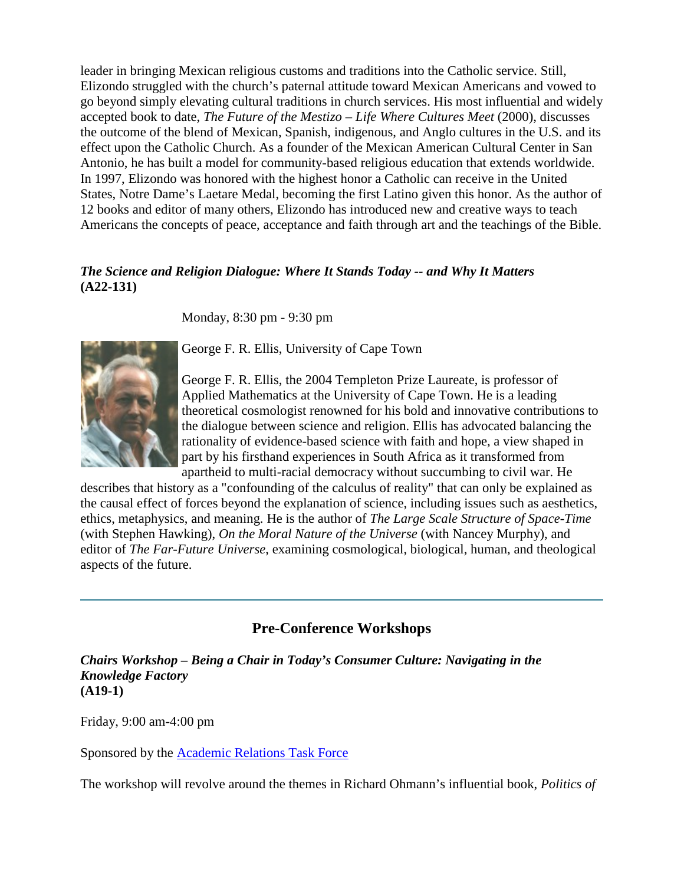leader in bringing Mexican religious customs and traditions into the Catholic service. Still, Elizondo struggled with the church's paternal attitude toward Mexican Americans and vowed to go beyond simply elevating cultural traditions in church services. His most influential and widely accepted book to date, *The Future of the Mestizo – Life Where Cultures Meet* (2000), discusses the outcome of the blend of Mexican, Spanish, indigenous, and Anglo cultures in the U.S. and its effect upon the Catholic Church. As a founder of the Mexican American Cultural Center in San Antonio, he has built a model for community-based religious education that extends worldwide. In 1997, Elizondo was honored with the highest honor a Catholic can receive in the United States, Notre Dame's Laetare Medal, becoming the first Latino given this honor. As the author of 12 books and editor of many others, Elizondo has introduced new and creative ways to teach Americans the concepts of peace, acceptance and faith through art and the teachings of the Bible.

# *The Science and Religion Dialogue: Where It Stands Today -- and Why It Matters* **(A22-131)**

Monday, 8:30 pm - 9:30 pm



George F. R. Ellis, University of Cape Town

George F. R. Ellis, the 2004 Templeton Prize Laureate, is professor of Applied Mathematics at the University of Cape Town. He is a leading theoretical cosmologist renowned for his bold and innovative contributions to the dialogue between science and religion. Ellis has advocated balancing the rationality of evidence-based science with faith and hope, a view shaped in part by his firsthand experiences in South Africa as it transformed from apartheid to multi-racial democracy without succumbing to civil war. He

describes that history as a "confounding of the calculus of reality" that can only be explained as the causal effect of forces beyond the explanation of science, including issues such as aesthetics, ethics, metaphysics, and meaning. He is the author of *The Large Scale Structure of Space-Time* (with Stephen Hawking), *On the Moral Nature of the Universe* (with Nancey Murphy), and editor of *The Far-Future Universe*, examining cosmological, biological, human, and theological aspects of the future.

# **Pre-Conference Workshops**

<span id="page-2-0"></span>*Chairs Workshop – Being a Chair in Today's Consumer Culture: Navigating in the Knowledge Factory* **(A19-1)**

Friday, 9:00 am-4:00 pm

Sponsored by the [Academic Relations Task Force](http://www.aarweb.org/about/board/artf/default.asp)

The workshop will revolve around the themes in Richard Ohmann's influential book, *Politics of*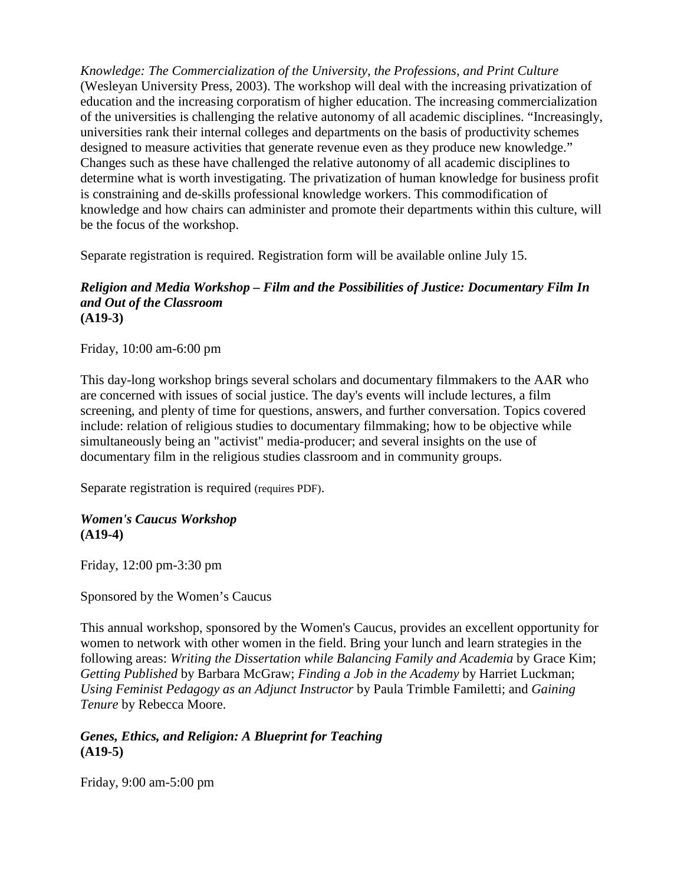*Knowledge: The Commercialization of the University, the Professions, and Print Culture* (Wesleyan University Press, 2003). The workshop will deal with the increasing privatization of education and the increasing corporatism of higher education. The increasing commercialization of the universities is challenging the relative autonomy of all academic disciplines. "Increasingly, universities rank their internal colleges and departments on the basis of productivity schemes designed to measure activities that generate revenue even as they produce new knowledge." Changes such as these have challenged the relative autonomy of all academic disciplines to determine what is worth investigating. The privatization of human knowledge for business profit is constraining and de-skills professional knowledge workers. This commodification of knowledge and how chairs can administer and promote their departments within this culture, will be the focus of the workshop.

Separate registration is required. Registration form will be available online July 15.

#### *Religion and Media Workshop – Film and the Possibilities of Justice: Documentary Film In and Out of the Classroom* **(A19-3)**

Friday, 10:00 am-6:00 pm

This day-long workshop brings several scholars and documentary filmmakers to the AAR who are concerned with issues of social justice. The day's events will include lectures, a film screening, and plenty of time for questions, answers, and further conversation. Topics covered include: relation of religious studies to documentary filmmaking; how to be objective while simultaneously being an "activist" media-producer; and several insights on the use of documentary film in the religious studies classroom and in community groups.

Separate registration is required (requires PDF).

### *Women's Caucus Workshop* **(A19-4)**

Friday, 12:00 pm-3:30 pm

Sponsored by the Women's Caucus

This annual workshop, sponsored by the Women's Caucus, provides an excellent opportunity for women to network with other women in the field. Bring your lunch and learn strategies in the following areas: *Writing the Dissertation while Balancing Family and Academia* by Grace Kim; *Getting Published* by Barbara McGraw; *Finding a Job in the Academy* by Harriet Luckman; *Using Feminist Pedagogy as an Adjunct Instructor* by Paula Trimble Familetti; and *Gaining Tenure* by Rebecca Moore.

# *Genes, Ethics, and Religion: A Blueprint for Teaching* **(A19-5)**

Friday, 9:00 am-5:00 pm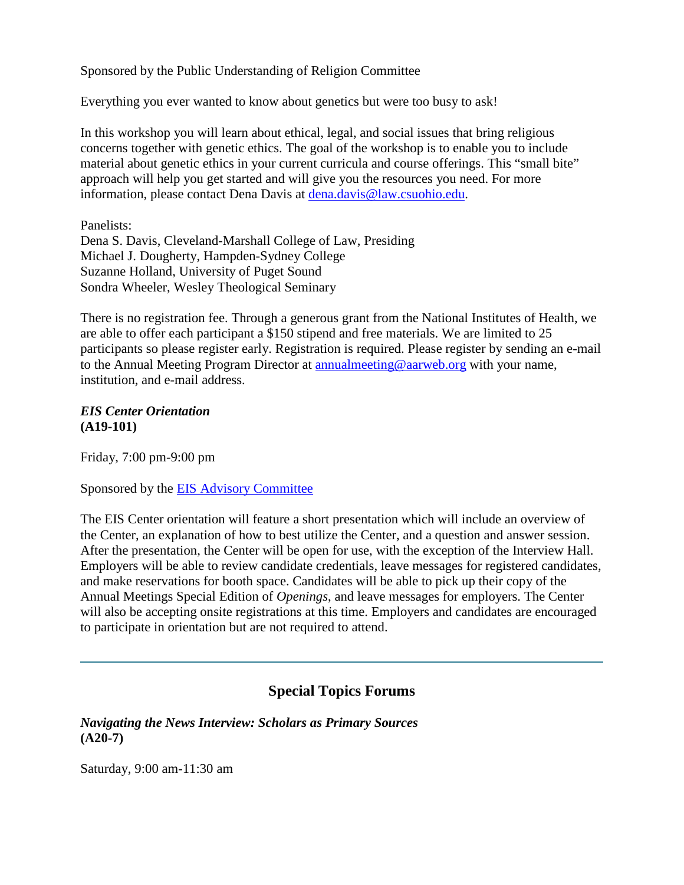Sponsored by the Public Understanding of Religion Committee

Everything you ever wanted to know about genetics but were too busy to ask!

In this workshop you will learn about ethical, legal, and social issues that bring religious concerns together with genetic ethics. The goal of the workshop is to enable you to include material about genetic ethics in your current curricula and course offerings. This "small bite" approach will help you get started and will give you the resources you need. For more information, please contact Dena Davis at [dena.davis@law.csuohio.edu.](mailto:dena.davis@law.csuohio.edu)

Panelists:

Dena S. Davis, Cleveland-Marshall College of Law, Presiding Michael J. Dougherty, Hampden-Sydney College Suzanne Holland, University of Puget Sound Sondra Wheeler, Wesley Theological Seminary

There is no registration fee. Through a generous grant from the National Institutes of Health, we are able to offer each participant a \$150 stipend and free materials. We are limited to 25 participants so please register early. Registration is required. Please register by sending an e-mail to the Annual Meeting Program Director at [annualmeeting@aarweb.org](mailto:annualmeeting@aarweb.org) with your name, institution, and e-mail address.

#### *EIS Center Orientation* **(A19-101)**

Friday, 7:00 pm-9:00 pm

Sponsored by the [EIS Advisory Committee](http://www.aarweb.org/about/board/eis/default.asp)

The EIS Center orientation will feature a short presentation which will include an overview of the Center, an explanation of how to best utilize the Center, and a question and answer session. After the presentation, the Center will be open for use, with the exception of the Interview Hall. Employers will be able to review candidate credentials, leave messages for registered candidates, and make reservations for booth space. Candidates will be able to pick up their copy of the Annual Meetings Special Edition of *Openings*, and leave messages for employers. The Center will also be accepting onsite registrations at this time. Employers and candidates are encouraged to participate in orientation but are not required to attend.

# **Special Topics Forums**

<span id="page-4-0"></span>*Navigating the News Interview: Scholars as Primary Sources* **(A20-7)**

Saturday, 9:00 am-11:30 am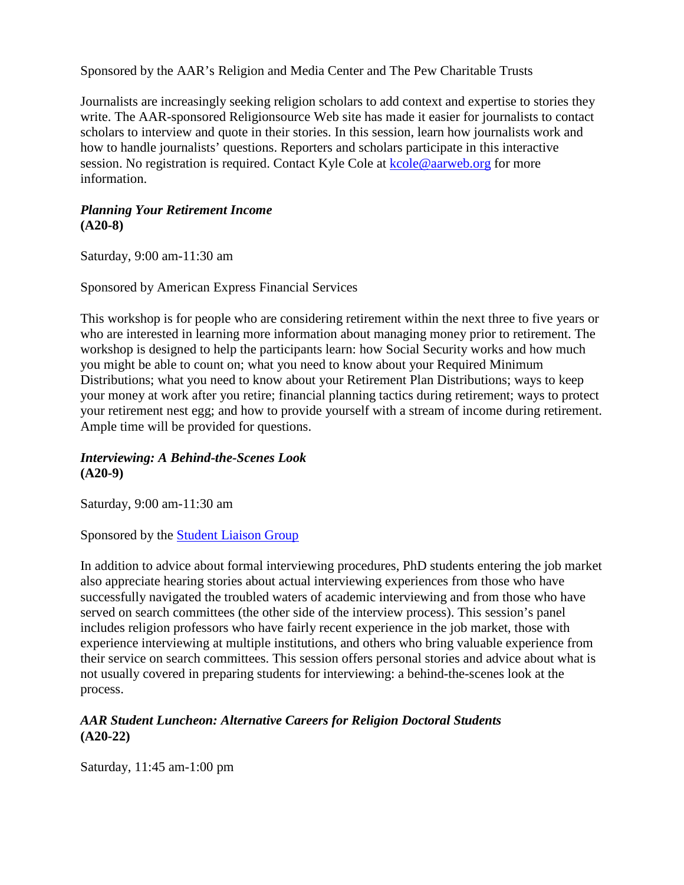Sponsored by the AAR's Religion and Media Center and The Pew Charitable Trusts

Journalists are increasingly seeking religion scholars to add context and expertise to stories they write. The AAR-sponsored Religionsource Web site has made it easier for journalists to contact scholars to interview and quote in their stories. In this session, learn how journalists work and how to handle journalists' questions. Reporters and scholars participate in this interactive session. No registration is required. Contact Kyle Cole at [kcole@aarweb.org](mailto:kcole@aarweb.org) for more information.

#### *Planning Your Retirement Income* **(A20-8)**

Saturday, 9:00 am-11:30 am

Sponsored by American Express Financial Services

This workshop is for people who are considering retirement within the next three to five years or who are interested in learning more information about managing money prior to retirement. The workshop is designed to help the participants learn: how Social Security works and how much you might be able to count on; what you need to know about your Required Minimum Distributions; what you need to know about your Retirement Plan Distributions; ways to keep your money at work after you retire; financial planning tactics during retirement; ways to protect your retirement nest egg; and how to provide yourself with a stream of income during retirement. Ample time will be provided for questions.

# *Interviewing: A Behind-the-Scenes Look* **(A20-9)**

Saturday, 9:00 am-11:30 am

Sponsored by the [Student Liaison Group](http://www.aarweb.org/students/default.asp)

In addition to advice about formal interviewing procedures, PhD students entering the job market also appreciate hearing stories about actual interviewing experiences from those who have successfully navigated the troubled waters of academic interviewing and from those who have served on search committees (the other side of the interview process). This session's panel includes religion professors who have fairly recent experience in the job market, those with experience interviewing at multiple institutions, and others who bring valuable experience from their service on search committees. This session offers personal stories and advice about what is not usually covered in preparing students for interviewing: a behind-the-scenes look at the process.

# *AAR Student Luncheon: Alternative Careers for Religion Doctoral Students* **(A20-22)**

Saturday, 11:45 am-1:00 pm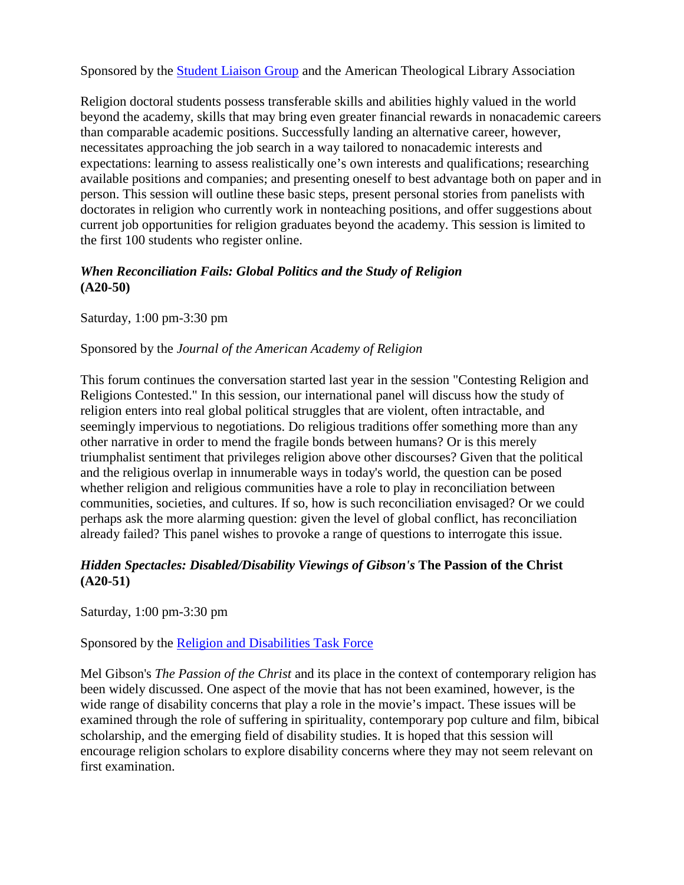Sponsored by the [Student Liaison Group](http://www.aarweb.org/students/default.asp) and the American Theological Library Association

Religion doctoral students possess transferable skills and abilities highly valued in the world beyond the academy, skills that may bring even greater financial rewards in nonacademic careers than comparable academic positions. Successfully landing an alternative career, however, necessitates approaching the job search in a way tailored to nonacademic interests and expectations: learning to assess realistically one's own interests and qualifications; researching available positions and companies; and presenting oneself to best advantage both on paper and in person. This session will outline these basic steps, present personal stories from panelists with doctorates in religion who currently work in nonteaching positions, and offer suggestions about current job opportunities for religion graduates beyond the academy. This session is limited to the first 100 students who register online.

# *When Reconciliation Fails: Global Politics and the Study of Religion* **(A20-50)**

Saturday, 1:00 pm-3:30 pm

### Sponsored by the *Journal of the American Academy of Religion*

This forum continues the conversation started last year in the session "Contesting Religion and Religions Contested." In this session, our international panel will discuss how the study of religion enters into real global political struggles that are violent, often intractable, and seemingly impervious to negotiations. Do religious traditions offer something more than any other narrative in order to mend the fragile bonds between humans? Or is this merely triumphalist sentiment that privileges religion above other discourses? Given that the political and the religious overlap in innumerable ways in today's world, the question can be posed whether religion and religious communities have a role to play in reconciliation between communities, societies, and cultures. If so, how is such reconciliation envisaged? Or we could perhaps ask the more alarming question: given the level of global conflict, has reconciliation already failed? This panel wishes to provoke a range of questions to interrogate this issue.

### *Hidden Spectacles: Disabled/Disability Viewings of Gibson's* **The Passion of the Christ (A20-51)**

Saturday, 1:00 pm-3:30 pm

# Sponsored by the [Religion and Disabilities Task Force](http://www.aarweb.org/about/board/disabilities/default.asp)

Mel Gibson's *The Passion of the Christ* and its place in the context of contemporary religion has been widely discussed. One aspect of the movie that has not been examined, however, is the wide range of disability concerns that play a role in the movie's impact. These issues will be examined through the role of suffering in spirituality, contemporary pop culture and film, bibical scholarship, and the emerging field of disability studies. It is hoped that this session will encourage religion scholars to explore disability concerns where they may not seem relevant on first examination.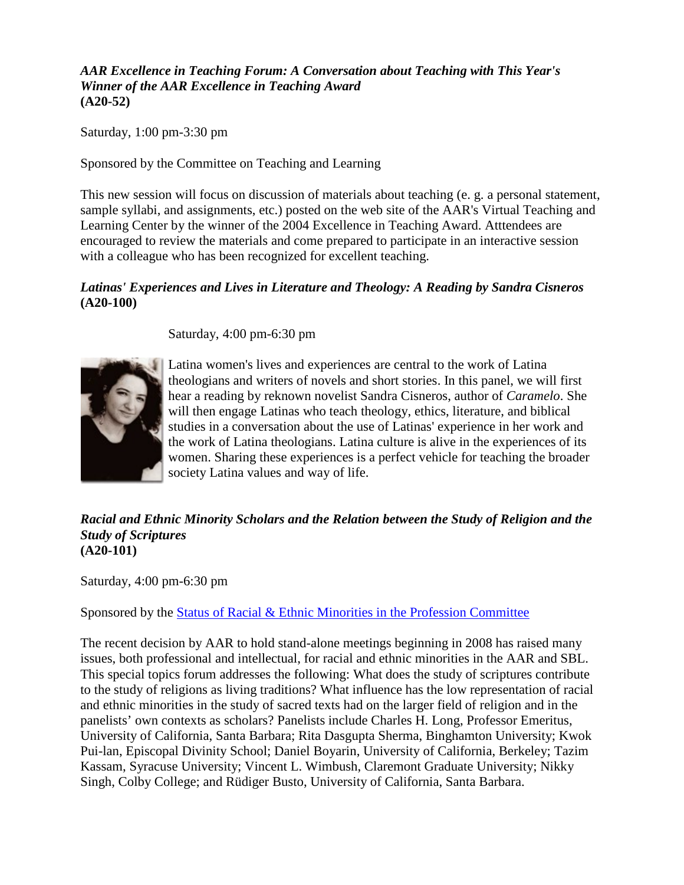*AAR Excellence in Teaching Forum: A Conversation about Teaching with This Year's Winner of the AAR Excellence in Teaching Award* **(A20-52)**

Saturday, 1:00 pm-3:30 pm

Sponsored by the Committee on Teaching and Learning

This new session will focus on discussion of materials about teaching (e. g. a personal statement, sample syllabi, and assignments, etc.) posted on the web site of the AAR's Virtual Teaching and Learning Center by the winner of the 2004 Excellence in Teaching Award. Atttendees are encouraged to review the materials and come prepared to participate in an interactive session with a colleague who has been recognized for excellent teaching.

### *Latinas' Experiences and Lives in Literature and Theology: A Reading by Sandra Cisneros* **(A20-100)**

Saturday, 4:00 pm-6:30 pm



Latina women's lives and experiences are central to the work of Latina theologians and writers of novels and short stories. In this panel, we will first hear a reading by reknown novelist Sandra Cisneros, author of *Caramelo*. She will then engage Latinas who teach theology, ethics, literature, and biblical studies in a conversation about the use of Latinas' experience in her work and the work of Latina theologians. Latina culture is alive in the experiences of its women. Sharing these experiences is a perfect vehicle for teaching the broader society Latina values and way of life.

#### *Racial and Ethnic Minority Scholars and the Relation between the Study of Religion and the Study of Scriptures* **(A20-101)**

Saturday, 4:00 pm-6:30 pm

Sponsored by the [Status of Racial & Ethnic Minorities in the Profession Committee](http://www.aarweb.org/about/board/rem/default.asp)

The recent decision by AAR to hold stand-alone meetings beginning in 2008 has raised many issues, both professional and intellectual, for racial and ethnic minorities in the AAR and SBL. This special topics forum addresses the following: What does the study of scriptures contribute to the study of religions as living traditions? What influence has the low representation of racial and ethnic minorities in the study of sacred texts had on the larger field of religion and in the panelists' own contexts as scholars? Panelists include Charles H. Long, Professor Emeritus, University of California, Santa Barbara; Rita Dasgupta Sherma, Binghamton University; Kwok Pui-lan, Episcopal Divinity School; Daniel Boyarin, University of California, Berkeley; Tazim Kassam, Syracuse University; Vincent L. Wimbush, Claremont Graduate University; Nikky Singh, Colby College; and Rüdiger Busto, University of California, Santa Barbara.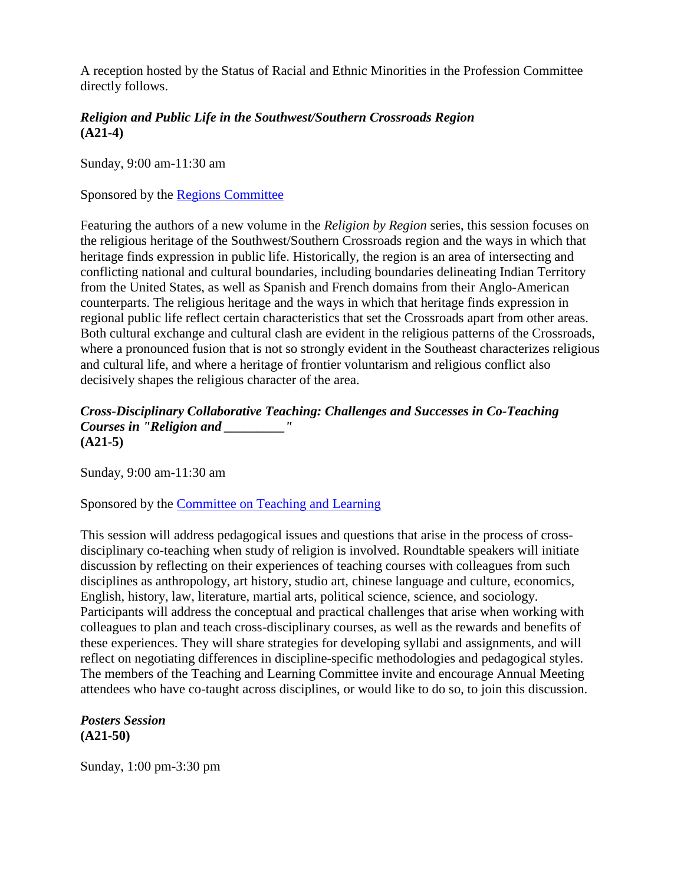A reception hosted by the Status of Racial and Ethnic Minorities in the Profession Committee directly follows.

# *Religion and Public Life in the Southwest/Southern Crossroads Region* **(A21-4)**

Sunday, 9:00 am-11:30 am

Sponsored by the [Regions Committee](http://www.aarweb.org/about/board/regions/default.asp)

Featuring the authors of a new volume in the *Religion by Region* series, this session focuses on the religious heritage of the Southwest/Southern Crossroads region and the ways in which that heritage finds expression in public life. Historically, the region is an area of intersecting and conflicting national and cultural boundaries, including boundaries delineating Indian Territory from the United States, as well as Spanish and French domains from their Anglo-American counterparts. The religious heritage and the ways in which that heritage finds expression in regional public life reflect certain characteristics that set the Crossroads apart from other areas. Both cultural exchange and cultural clash are evident in the religious patterns of the Crossroads, where a pronounced fusion that is not so strongly evident in the Southeast characterizes religious and cultural life, and where a heritage of frontier voluntarism and religious conflict also decisively shapes the religious character of the area.

### *Cross-Disciplinary Collaborative Teaching: Challenges and Successes in Co-Teaching Courses in "Religion and \_\_\_\_\_\_\_\_\_"* **(A21-5)**

Sunday, 9:00 am-11:30 am

Sponsored by the [Committee on Teaching and Learning](http://www.aarweb.org/about/board/ctl/default.asp)

This session will address pedagogical issues and questions that arise in the process of crossdisciplinary co-teaching when study of religion is involved. Roundtable speakers will initiate discussion by reflecting on their experiences of teaching courses with colleagues from such disciplines as anthropology, art history, studio art, chinese language and culture, economics, English, history, law, literature, martial arts, political science, science, and sociology. Participants will address the conceptual and practical challenges that arise when working with colleagues to plan and teach cross-disciplinary courses, as well as the rewards and benefits of these experiences. They will share strategies for developing syllabi and assignments, and will reflect on negotiating differences in discipline-specific methodologies and pedagogical styles. The members of the Teaching and Learning Committee invite and encourage Annual Meeting attendees who have co-taught across disciplines, or would like to do so, to join this discussion.

# *Posters Session* **(A21-50)**

Sunday, 1:00 pm-3:30 pm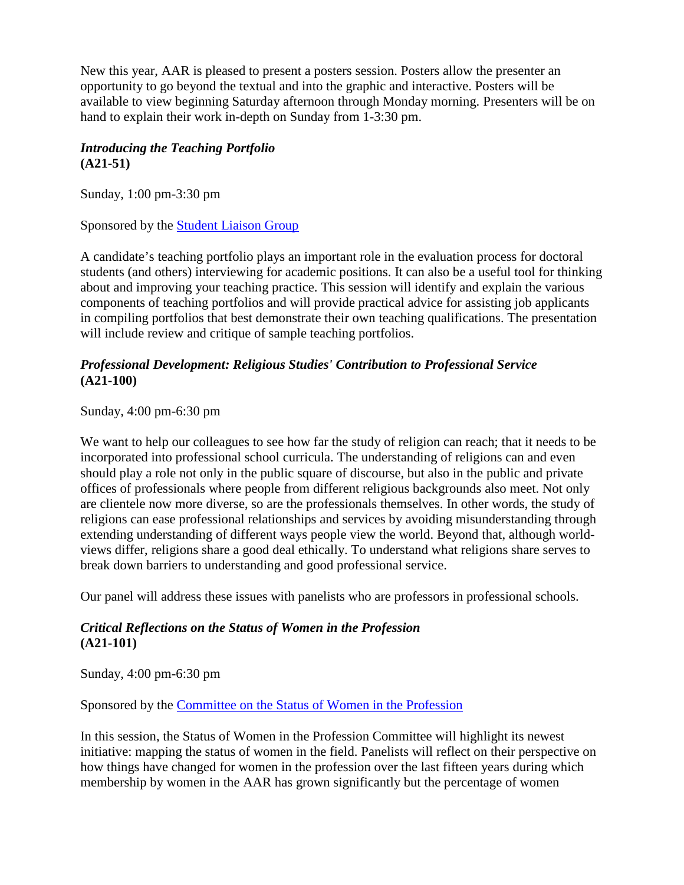New this year, AAR is pleased to present a posters session. Posters allow the presenter an opportunity to go beyond the textual and into the graphic and interactive. Posters will be available to view beginning Saturday afternoon through Monday morning. Presenters will be on hand to explain their work in-depth on Sunday from 1-3:30 pm.

# *Introducing the Teaching Portfolio* **(A21-51)**

Sunday, 1:00 pm-3:30 pm

Sponsored by the [Student Liaison Group](http://www.aarweb.org/students/default.asp)

A candidate's teaching portfolio plays an important role in the evaluation process for doctoral students (and others) interviewing for academic positions. It can also be a useful tool for thinking about and improving your teaching practice. This session will identify and explain the various components of teaching portfolios and will provide practical advice for assisting job applicants in compiling portfolios that best demonstrate their own teaching qualifications. The presentation will include review and critique of sample teaching portfolios.

# *Professional Development: Religious Studies' Contribution to Professional Service* **(A21-100)**

Sunday, 4:00 pm-6:30 pm

We want to help our colleagues to see how far the study of religion can reach; that it needs to be incorporated into professional school curricula. The understanding of religions can and even should play a role not only in the public square of discourse, but also in the public and private offices of professionals where people from different religious backgrounds also meet. Not only are clientele now more diverse, so are the professionals themselves. In other words, the study of religions can ease professional relationships and services by avoiding misunderstanding through extending understanding of different ways people view the world. Beyond that, although worldviews differ, religions share a good deal ethically. To understand what religions share serves to break down barriers to understanding and good professional service.

Our panel will address these issues with panelists who are professors in professional schools.

# *Critical Reflections on the Status of Women in the Profession* **(A21-101)**

Sunday, 4:00 pm-6:30 pm

Sponsored by the [Committee on the Status of Women in the Profession](http://www.aarweb.org/about/board/swp/default.asp)

In this session, the Status of Women in the Profession Committee will highlight its newest initiative: mapping the status of women in the field. Panelists will reflect on their perspective on how things have changed for women in the profession over the last fifteen years during which membership by women in the AAR has grown significantly but the percentage of women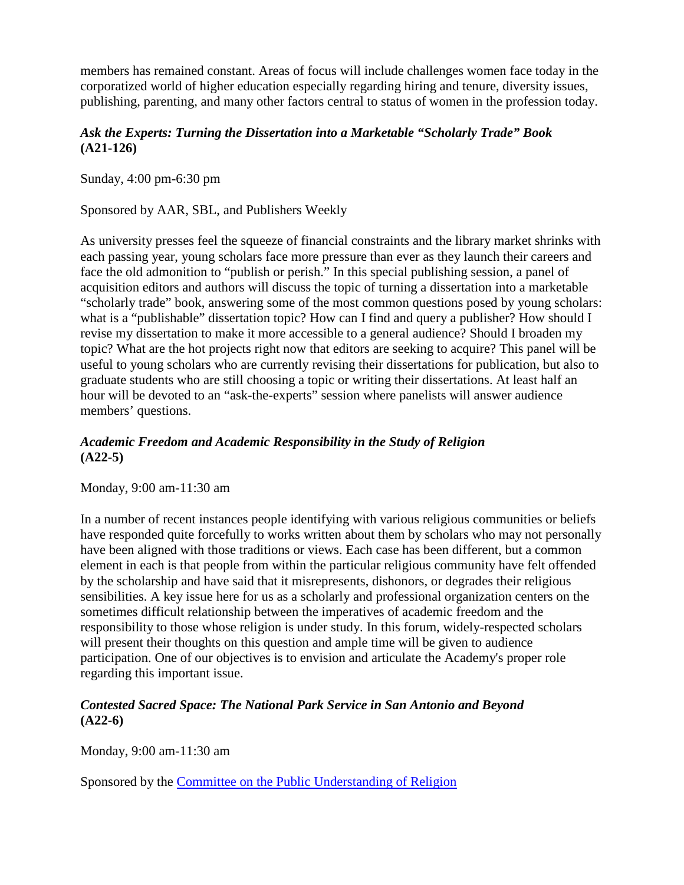members has remained constant. Areas of focus will include challenges women face today in the corporatized world of higher education especially regarding hiring and tenure, diversity issues, publishing, parenting, and many other factors central to status of women in the profession today.

# *Ask the Experts: Turning the Dissertation into a Marketable "Scholarly Trade" Book* **(A21-126)**

Sunday, 4:00 pm-6:30 pm

Sponsored by AAR, SBL, and Publishers Weekly

As university presses feel the squeeze of financial constraints and the library market shrinks with each passing year, young scholars face more pressure than ever as they launch their careers and face the old admonition to "publish or perish." In this special publishing session, a panel of acquisition editors and authors will discuss the topic of turning a dissertation into a marketable "scholarly trade" book, answering some of the most common questions posed by young scholars: what is a "publishable" dissertation topic? How can I find and query a publisher? How should I revise my dissertation to make it more accessible to a general audience? Should I broaden my topic? What are the hot projects right now that editors are seeking to acquire? This panel will be useful to young scholars who are currently revising their dissertations for publication, but also to graduate students who are still choosing a topic or writing their dissertations. At least half an hour will be devoted to an "ask-the-experts" session where panelists will answer audience members' questions.

# *Academic Freedom and Academic Responsibility in the Study of Religion* **(A22-5)**

Monday, 9:00 am-11:30 am

In a number of recent instances people identifying with various religious communities or beliefs have responded quite forcefully to works written about them by scholars who may not personally have been aligned with those traditions or views. Each case has been different, but a common element in each is that people from within the particular religious community have felt offended by the scholarship and have said that it misrepresents, dishonors, or degrades their religious sensibilities. A key issue here for us as a scholarly and professional organization centers on the sometimes difficult relationship between the imperatives of academic freedom and the responsibility to those whose religion is under study. In this forum, widely-respected scholars will present their thoughts on this question and ample time will be given to audience participation. One of our objectives is to envision and articulate the Academy's proper role regarding this important issue.

# *Contested Sacred Space: The National Park Service in San Antonio and Beyond* **(A22-6)**

Monday, 9:00 am-11:30 am

Sponsored by the [Committee on the Public Understanding of Religion](http://www.aarweb.org/about/board/pur/default.asp)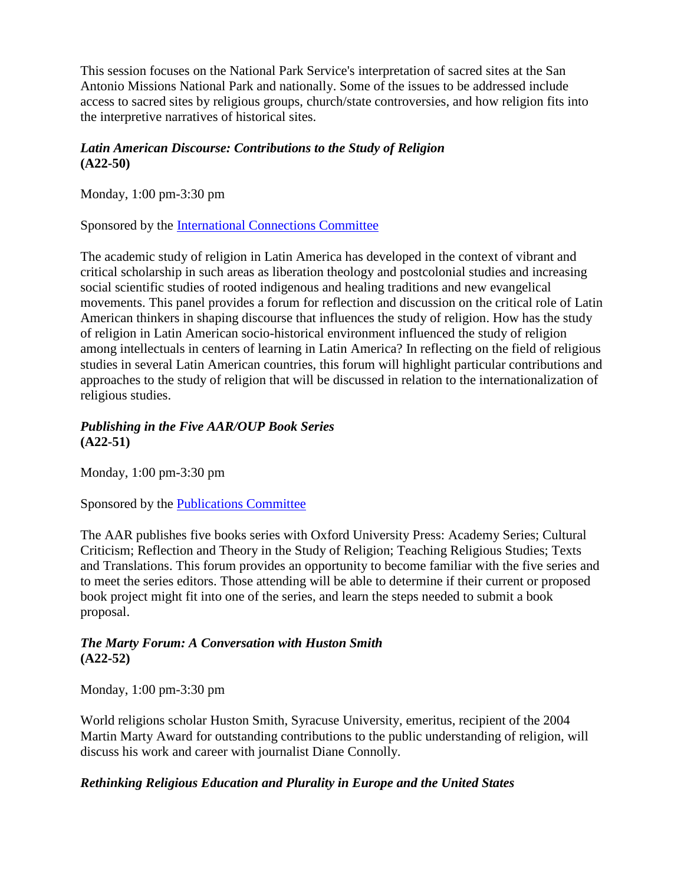This session focuses on the National Park Service's interpretation of sacred sites at the San Antonio Missions National Park and nationally. Some of the issues to be addressed include access to sacred sites by religious groups, church/state controversies, and how religion fits into the interpretive narratives of historical sites.

# *Latin American Discourse: Contributions to the Study of Religion* **(A22-50)**

Monday, 1:00 pm-3:30 pm

Sponsored by the [International Connections Committee](http://www.aarweb.org/about/board/intconn/default.asp)

The academic study of religion in Latin America has developed in the context of vibrant and critical scholarship in such areas as liberation theology and postcolonial studies and increasing social scientific studies of rooted indigenous and healing traditions and new evangelical movements. This panel provides a forum for reflection and discussion on the critical role of Latin American thinkers in shaping discourse that influences the study of religion. How has the study of religion in Latin American socio-historical environment influenced the study of religion among intellectuals in centers of learning in Latin America? In reflecting on the field of religious studies in several Latin American countries, this forum will highlight particular contributions and approaches to the study of religion that will be discussed in relation to the internationalization of religious studies.

# *Publishing in the Five AAR/OUP Book Series* **(A22-51)**

Monday, 1:00 pm-3:30 pm

Sponsored by the [Publications Committee](http://www.aarweb.org/about/board/publications/default.asp)

The AAR publishes five books series with Oxford University Press: Academy Series; Cultural Criticism; Reflection and Theory in the Study of Religion; Teaching Religious Studies; Texts and Translations. This forum provides an opportunity to become familiar with the five series and to meet the series editors. Those attending will be able to determine if their current or proposed book project might fit into one of the series, and learn the steps needed to submit a book proposal.

# *The Marty Forum: A Conversation with Huston Smith* **(A22-52)**

Monday, 1:00 pm-3:30 pm

World religions scholar Huston Smith, Syracuse University, emeritus, recipient of the 2004 Martin Marty Award for outstanding contributions to the public understanding of religion, will discuss his work and career with journalist Diane Connolly.

# *Rethinking Religious Education and Plurality in Europe and the United States*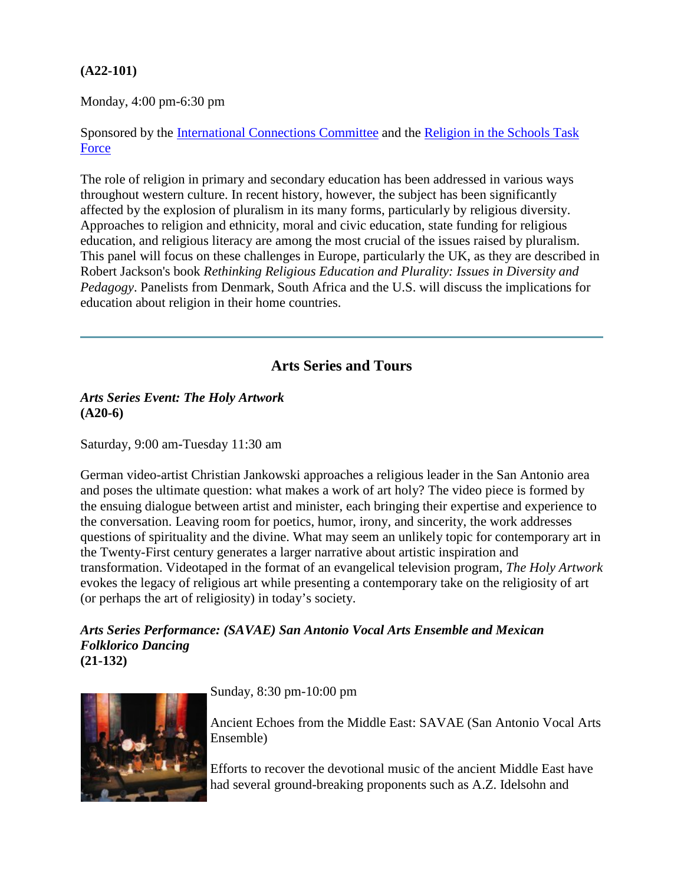# **(A22-101)**

Monday, 4:00 pm-6:30 pm

Sponsored by the [International Connections Committee](http://www.aarweb.org/about/board/intconn/default.asp) and the [Religion in the Schools Task](http://www.aarweb.org/about/board/ristf/default.asp)  [Force](http://www.aarweb.org/about/board/ristf/default.asp)

The role of religion in primary and secondary education has been addressed in various ways throughout western culture. In recent history, however, the subject has been significantly affected by the explosion of pluralism in its many forms, particularly by religious diversity. Approaches to religion and ethnicity, moral and civic education, state funding for religious education, and religious literacy are among the most crucial of the issues raised by pluralism. This panel will focus on these challenges in Europe, particularly the UK, as they are described in Robert Jackson's book *Rethinking Religious Education and Plurality: Issues in Diversity and Pedagogy*. Panelists from Denmark, South Africa and the U.S. will discuss the implications for education about religion in their home countries.

# **Arts Series and Tours**

#### <span id="page-12-0"></span>*Arts Series Event: The Holy Artwork* **(A20-6)**

Saturday, 9:00 am-Tuesday 11:30 am

German video-artist Christian Jankowski approaches a religious leader in the San Antonio area and poses the ultimate question: what makes a work of art holy? The video piece is formed by the ensuing dialogue between artist and minister, each bringing their expertise and experience to the conversation. Leaving room for poetics, humor, irony, and sincerity, the work addresses questions of spirituality and the divine. What may seem an unlikely topic for contemporary art in the Twenty-First century generates a larger narrative about artistic inspiration and transformation. Videotaped in the format of an evangelical television program, *The Holy Artwork* evokes the legacy of religious art while presenting a contemporary take on the religiosity of art (or perhaps the art of religiosity) in today's society.

*Arts Series Performance: (SAVAE) San Antonio Vocal Arts Ensemble and Mexican Folklorico Dancing* **(21-132)**



Sunday, 8:30 pm-10:00 pm

Ancient Echoes from the Middle East: SAVAE (San Antonio Vocal Arts Ensemble)

Efforts to recover the devotional music of the ancient Middle East have had several ground-breaking proponents such as A.Z. Idelsohn and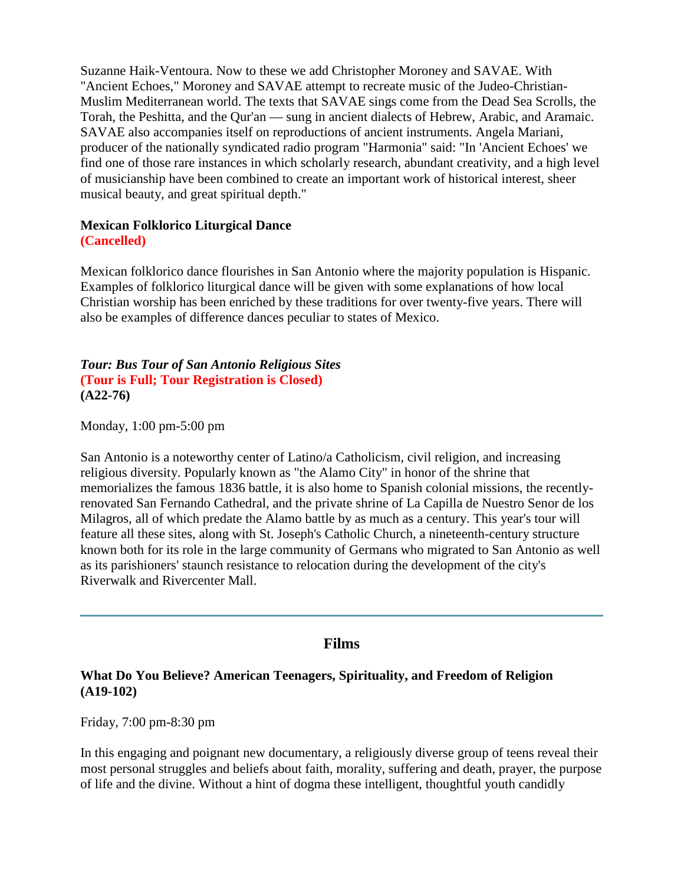Suzanne Haik-Ventoura. Now to these we add Christopher Moroney and SAVAE. With "Ancient Echoes," Moroney and SAVAE attempt to recreate music of the Judeo-Christian-Muslim Mediterranean world. The texts that SAVAE sings come from the Dead Sea Scrolls, the Torah, the Peshitta, and the Qur'an — sung in ancient dialects of Hebrew, Arabic, and Aramaic. SAVAE also accompanies itself on reproductions of ancient instruments. Angela Mariani, producer of the nationally syndicated radio program "Harmonia" said: "In 'Ancient Echoes' we find one of those rare instances in which scholarly research, abundant creativity, and a high level of musicianship have been combined to create an important work of historical interest, sheer musical beauty, and great spiritual depth."

#### **Mexican Folklorico Liturgical Dance (Cancelled)**

Mexican folklorico dance flourishes in San Antonio where the majority population is Hispanic. Examples of folklorico liturgical dance will be given with some explanations of how local Christian worship has been enriched by these traditions for over twenty-five years. There will also be examples of difference dances peculiar to states of Mexico.

### *Tour: Bus Tour of San Antonio Religious Sites* **(Tour is Full; Tour Registration is Closed) (A22-76)**

Monday, 1:00 pm-5:00 pm

San Antonio is a noteworthy center of Latino/a Catholicism, civil religion, and increasing religious diversity. Popularly known as "the Alamo City" in honor of the shrine that memorializes the famous 1836 battle, it is also home to Spanish colonial missions, the recentlyrenovated San Fernando Cathedral, and the private shrine of La Capilla de Nuestro Senor de los Milagros, all of which predate the Alamo battle by as much as a century. This year's tour will feature all these sites, along with St. Joseph's Catholic Church, a nineteenth-century structure known both for its role in the large community of Germans who migrated to San Antonio as well as its parishioners' staunch resistance to relocation during the development of the city's Riverwalk and Rivercenter Mall.

# **Films**

### <span id="page-13-0"></span>**What Do You Believe? American Teenagers, Spirituality, and Freedom of Religion (A19-102)**

Friday, 7:00 pm-8:30 pm

In this engaging and poignant new documentary, a religiously diverse group of teens reveal their most personal struggles and beliefs about faith, morality, suffering and death, prayer, the purpose of life and the divine. Without a hint of dogma these intelligent, thoughtful youth candidly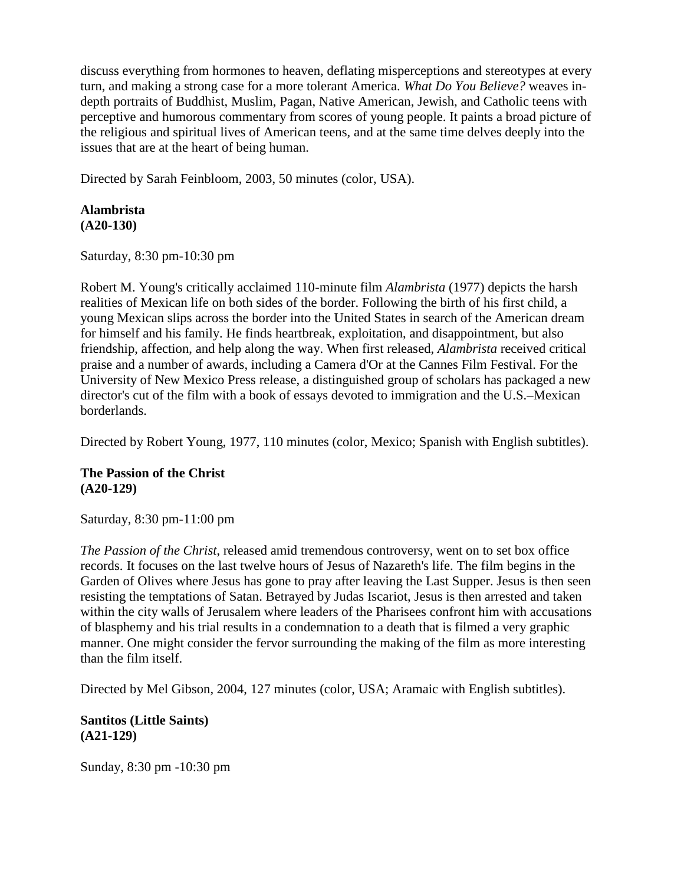discuss everything from hormones to heaven, deflating misperceptions and stereotypes at every turn, and making a strong case for a more tolerant America. *What Do You Believe?* weaves indepth portraits of Buddhist, Muslim, Pagan, Native American, Jewish, and Catholic teens with perceptive and humorous commentary from scores of young people. It paints a broad picture of the religious and spiritual lives of American teens, and at the same time delves deeply into the issues that are at the heart of being human.

Directed by Sarah Feinbloom, 2003, 50 minutes (color, USA).

#### **Alambrista (A20-130)**

Saturday, 8:30 pm-10:30 pm

Robert M. Young's critically acclaimed 110-minute film *Alambrista* (1977) depicts the harsh realities of Mexican life on both sides of the border. Following the birth of his first child, a young Mexican slips across the border into the United States in search of the American dream for himself and his family. He finds heartbreak, exploitation, and disappointment, but also friendship, affection, and help along the way. When first released, *Alambrista* received critical praise and a number of awards, including a Camera d'Or at the Cannes Film Festival. For the University of New Mexico Press release, a distinguished group of scholars has packaged a new director's cut of the film with a book of essays devoted to immigration and the U.S.–Mexican borderlands.

Directed by Robert Young, 1977, 110 minutes (color, Mexico; Spanish with English subtitles).

#### **The Passion of the Christ (A20-129)**

Saturday, 8:30 pm-11:00 pm

*The Passion of the Christ*, released amid tremendous controversy, went on to set box office records. It focuses on the last twelve hours of Jesus of Nazareth's life. The film begins in the Garden of Olives where Jesus has gone to pray after leaving the Last Supper. Jesus is then seen resisting the temptations of Satan. Betrayed by Judas Iscariot, Jesus is then arrested and taken within the city walls of Jerusalem where leaders of the Pharisees confront him with accusations of blasphemy and his trial results in a condemnation to a death that is filmed a very graphic manner. One might consider the fervor surrounding the making of the film as more interesting than the film itself.

Directed by Mel Gibson, 2004, 127 minutes (color, USA; Aramaic with English subtitles).

**Santitos (Little Saints) (A21-129)**

Sunday, 8:30 pm -10:30 pm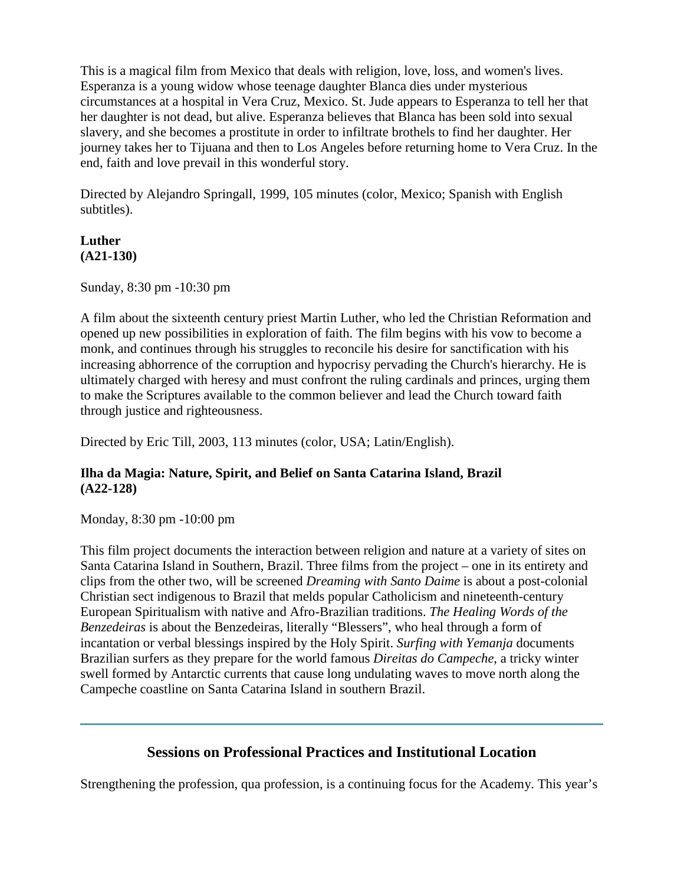This is a magical film from Mexico that deals with religion, love, loss, and women's lives. Esperanza is a young widow whose teenage daughter Blanca dies under mysterious circumstances at a hospital in Vera Cruz, Mexico. St. Jude appears to Esperanza to tell her that her daughter is not dead, but alive. Esperanza believes that Blanca has been sold into sexual slavery, and she becomes a prostitute in order to infiltrate brothels to find her daughter. Her journey takes her to Tijuana and then to Los Angeles before returning home to Vera Cruz. In the end, faith and love prevail in this wonderful story.

Directed by Alejandro Springall, 1999, 105 minutes (color, Mexico; Spanish with English subtitles).

# **Luther (A21-130)**

Sunday, 8:30 pm -10:30 pm

A film about the sixteenth century priest Martin Luther, who led the Christian Reformation and opened up new possibilities in exploration of faith. The film begins with his vow to become a monk, and continues through his struggles to reconcile his desire for sanctification with his increasing abhorrence of the corruption and hypocrisy pervading the Church's hierarchy. He is ultimately charged with heresy and must confront the ruling cardinals and princes, urging them to make the Scriptures available to the common believer and lead the Church toward faith through justice and righteousness.

Directed by Eric Till, 2003, 113 minutes (color, USA; Latin/English).

# **Ilha da Magia: Nature, Spirit, and Belief on Santa Catarina Island, Brazil (A22-128)**

Monday, 8:30 pm -10:00 pm

This film project documents the interaction between religion and nature at a variety of sites on Santa Catarina Island in Southern, Brazil. Three films from the project – one in its entirety and clips from the other two, will be screened *Dreaming with Santo Daime* is about a post-colonial Christian sect indigenous to Brazil that melds popular Catholicism and nineteenth-century European Spiritualism with native and Afro-Brazilian traditions. *The Healing Words of the Benzedeiras* is about the Benzedeiras, literally "Blessers", who heal through a form of incantation or verbal blessings inspired by the Holy Spirit. *Surfing with Yemanja* documents Brazilian surfers as they prepare for the world famous *Direitas do Campeche*, a tricky winter swell formed by Antarctic currents that cause long undulating waves to move north along the Campeche coastline on Santa Catarina Island in southern Brazil.

# **Sessions on Professional Practices and Institutional Location**

<span id="page-15-0"></span>Strengthening the profession, qua profession, is a continuing focus for the Academy. This year's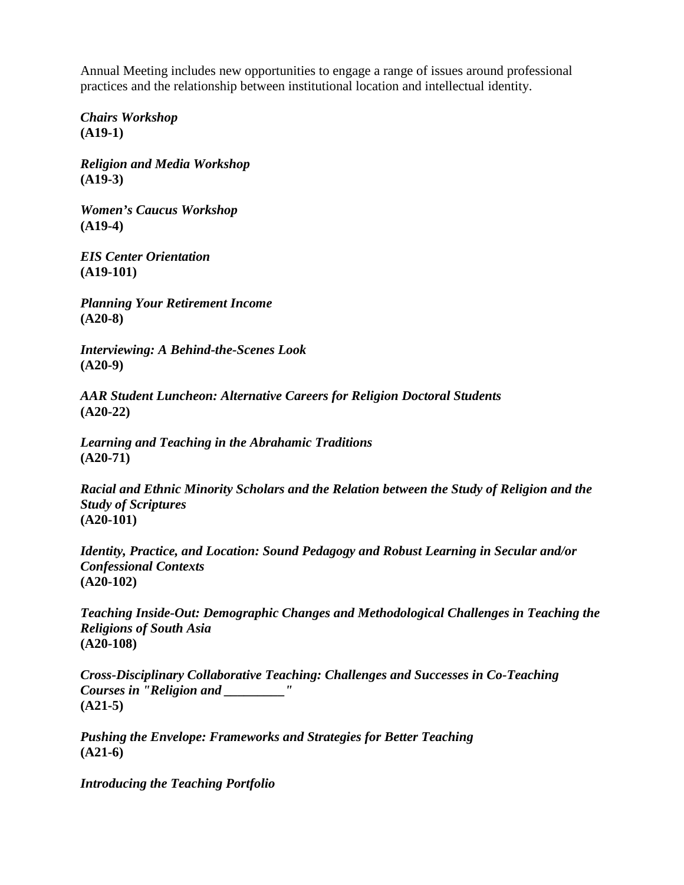Annual Meeting includes new opportunities to engage a range of issues around professional practices and the relationship between institutional location and intellectual identity.

*Chairs Workshop* **(A19-1)**

*Religion and Media Workshop* **(A19-3)**

*Women's Caucus Workshop* **(A19-4)**

*EIS Center Orientation* **(A19-101)**

*Planning Your Retirement Income* **(A20-8)**

*Interviewing: A Behind-the-Scenes Look* **(A20-9)**

*AAR Student Luncheon: Alternative Careers for Religion Doctoral Students* **(A20-22)**

*Learning and Teaching in the Abrahamic Traditions* **(A20-71)**

*Racial and Ethnic Minority Scholars and the Relation between the Study of Religion and the Study of Scriptures* **(A20-101)**

*Identity, Practice, and Location: Sound Pedagogy and Robust Learning in Secular and/or Confessional Contexts* **(A20-102)**

*Teaching Inside-Out: Demographic Changes and Methodological Challenges in Teaching the Religions of South Asia* **(A20-108)**

*Cross-Disciplinary Collaborative Teaching: Challenges and Successes in Co-Teaching Courses in "Religion and \_\_\_\_\_\_\_\_\_"* **(A21-5)**

*Pushing the Envelope: Frameworks and Strategies for Better Teaching* **(A21-6)**

*Introducing the Teaching Portfolio*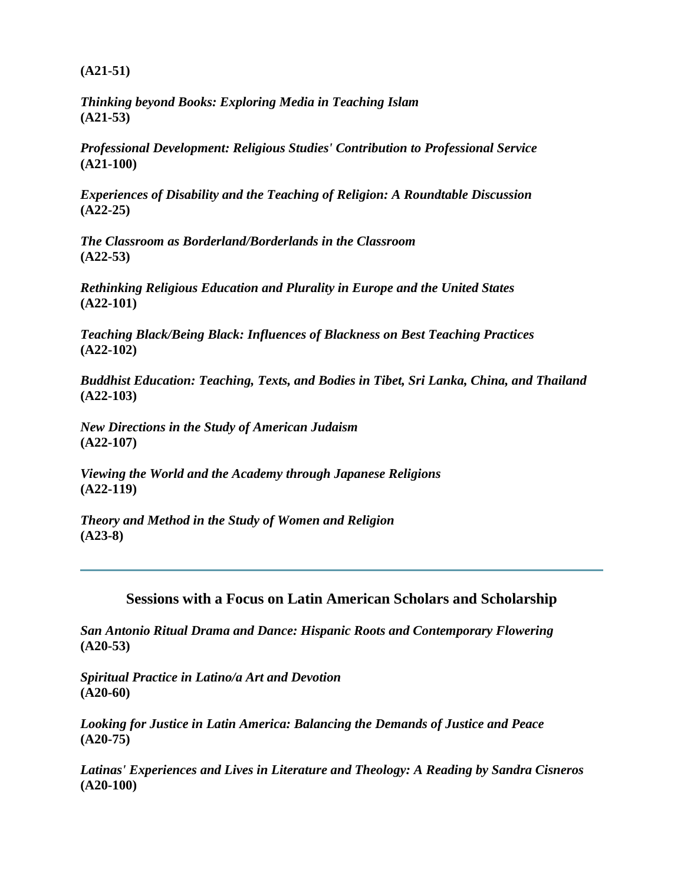**(A21-51)**

*Thinking beyond Books: Exploring Media in Teaching Islam* **(A21-53)**

*Professional Development: Religious Studies' Contribution to Professional Service* **(A21-100)**

*Experiences of Disability and the Teaching of Religion: A Roundtable Discussion* **(A22-25)**

*The Classroom as Borderland/Borderlands in the Classroom* **(A22-53)**

*Rethinking Religious Education and Plurality in Europe and the United States* **(A22-101)**

*Teaching Black/Being Black: Influences of Blackness on Best Teaching Practices* **(A22-102)**

*Buddhist Education: Teaching, Texts, and Bodies in Tibet, Sri Lanka, China, and Thailand* **(A22-103)**

*New Directions in the Study of American Judaism* **(A22-107)**

*Viewing the World and the Academy through Japanese Religions* **(A22-119)** 

*Theory and Method in the Study of Women and Religion* **(A23-8)**

<span id="page-17-0"></span>**Sessions with a Focus on Latin American Scholars and Scholarship**

*San Antonio Ritual Drama and Dance: Hispanic Roots and Contemporary Flowering* **(A20-53)**

*Spiritual Practice in Latino/a Art and Devotion* **(A20-60)**

*Looking for Justice in Latin America: Balancing the Demands of Justice and Peace* **(A20-75)**

*Latinas' Experiences and Lives in Literature and Theology: A Reading by Sandra Cisneros* **(A20-100)**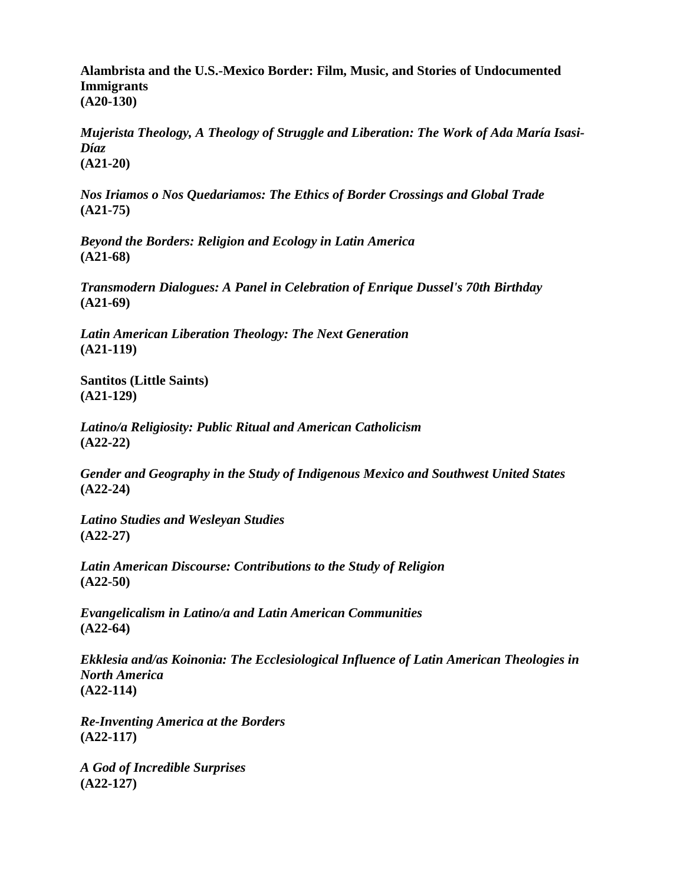**Alambrista and the U.S.-Mexico Border: Film, Music, and Stories of Undocumented Immigrants (A20-130)**

*Mujerista Theology, A Theology of Struggle and Liberation: The Work of Ada María Isasi-Díaz* **(A21-20)**

*Nos Iriamos o Nos Quedariamos: The Ethics of Border Crossings and Global Trade* **(A21-75)**

*Beyond the Borders: Religion and Ecology in Latin America* **(A21-68)**

*Transmodern Dialogues: A Panel in Celebration of Enrique Dussel's 70th Birthday* **(A21-69)**

*Latin American Liberation Theology: The Next Generation* **(A21-119)**

**Santitos (Little Saints) (A21-129)**

*Latino/a Religiosity: Public Ritual and American Catholicism* **(A22-22)** 

*Gender and Geography in the Study of Indigenous Mexico and Southwest United States* **(A22-24)**

*Latino Studies and Wesleyan Studies* **(A22-27)**

*Latin American Discourse: Contributions to the Study of Religion* **(A22-50)**

*Evangelicalism in Latino/a and Latin American Communities* **(A22-64)**

*Ekklesia and/as Koinonia: The Ecclesiological Influence of Latin American Theologies in North America* **(A22-114)**

*Re-Inventing America at the Borders* **(A22-117)**

*A God of Incredible Surprises* **(A22-127)**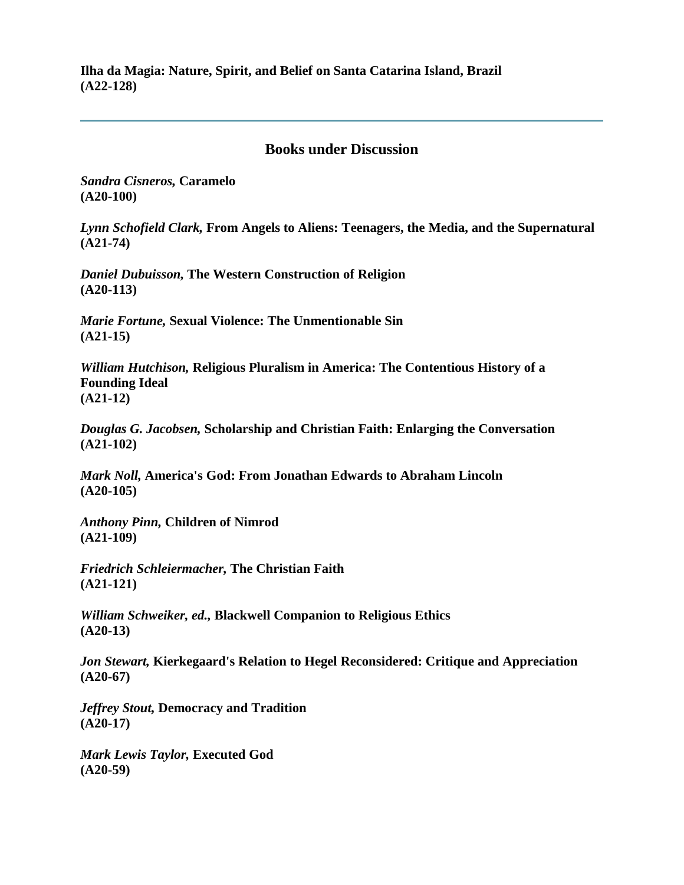**Ilha da Magia: Nature, Spirit, and Belief on Santa Catarina Island, Brazil (A22-128)**

### **Books under Discussion**

<span id="page-19-0"></span>*Sandra Cisneros,* **Caramelo (A20-100)**

*Lynn Schofield Clark,* **From Angels to Aliens: Teenagers, the Media, and the Supernatural (A21-74)**

*Daniel Dubuisson,* **The Western Construction of Religion (A20-113)**

*Marie Fortune,* **Sexual Violence: The Unmentionable Sin (A21-15)**

*William Hutchison,* **Religious Pluralism in America: The Contentious History of a Founding Ideal (A21-12)**

*Douglas G. Jacobsen,* **Scholarship and Christian Faith: Enlarging the Conversation (A21-102)**

*Mark Noll,* **America's God: From Jonathan Edwards to Abraham Lincoln (A20-105)**

*Anthony Pinn,* **Children of Nimrod (A21-109)**

*Friedrich Schleiermacher,* **The Christian Faith (A21-121)**

*William Schweiker, ed.,* **Blackwell Companion to Religious Ethics (A20-13)**

*Jon Stewart,* **Kierkegaard's Relation to Hegel Reconsidered: Critique and Appreciation (A20-67)**

*Jeffrey Stout,* **Democracy and Tradition (A20-17)**

*Mark Lewis Taylor,* **Executed God (A20-59)**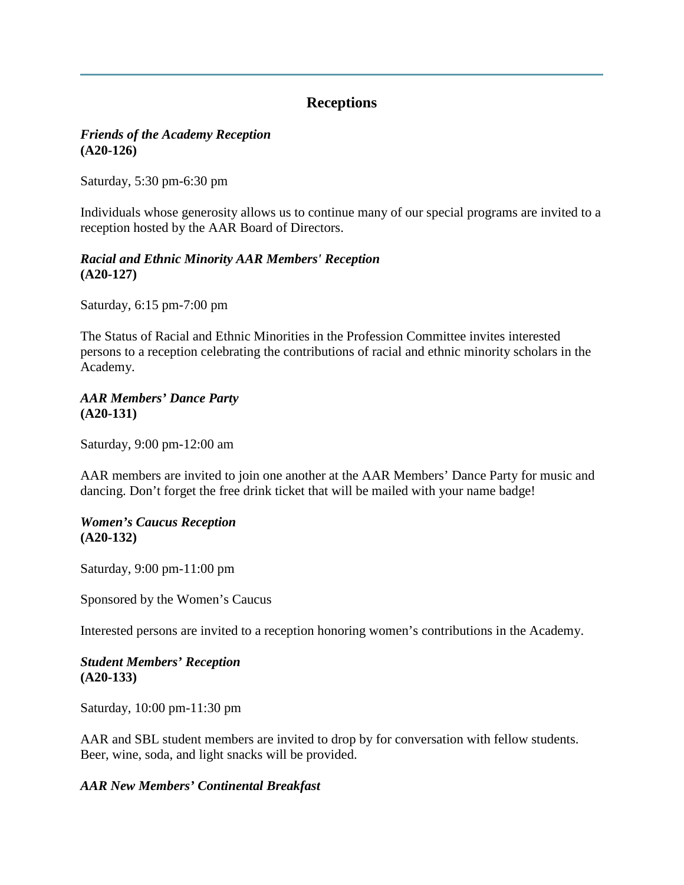# **Receptions**

### <span id="page-20-0"></span>*Friends of the Academy Reception* **(A20-126)**

Saturday, 5:30 pm-6:30 pm

Individuals whose generosity allows us to continue many of our special programs are invited to a reception hosted by the AAR Board of Directors.

### *Racial and Ethnic Minority AAR Members' Reception* **(A20-127)**

Saturday, 6:15 pm-7:00 pm

The Status of Racial and Ethnic Minorities in the Profession Committee invites interested persons to a reception celebrating the contributions of racial and ethnic minority scholars in the Academy.

### *AAR Members' Dance Party* **(A20-131)**

Saturday, 9:00 pm-12:00 am

AAR members are invited to join one another at the AAR Members' Dance Party for music and dancing. Don't forget the free drink ticket that will be mailed with your name badge!

### *Women's Caucus Reception* **(A20-132)**

Saturday, 9:00 pm-11:00 pm

Sponsored by the Women's Caucus

Interested persons are invited to a reception honoring women's contributions in the Academy.

# *Student Members' Reception* **(A20-133)**

Saturday, 10:00 pm-11:30 pm

AAR and SBL student members are invited to drop by for conversation with fellow students. Beer, wine, soda, and light snacks will be provided.

# *AAR New Members' Continental Breakfast*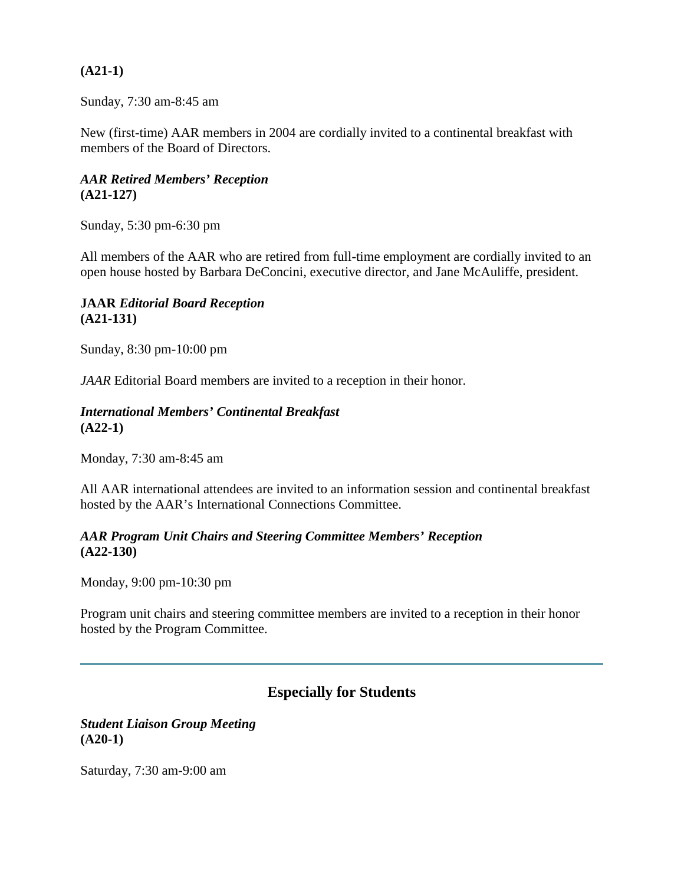### **(A21-1)**

Sunday, 7:30 am-8:45 am

New (first-time) AAR members in 2004 are cordially invited to a continental breakfast with members of the Board of Directors.

# *AAR Retired Members' Reception* **(A21-127)**

Sunday, 5:30 pm-6:30 pm

All members of the AAR who are retired from full-time employment are cordially invited to an open house hosted by Barbara DeConcini, executive director, and Jane McAuliffe, president.

### **JAAR** *Editorial Board Reception* **(A21-131)**

Sunday, 8:30 pm-10:00 pm

*JAAR* Editorial Board members are invited to a reception in their honor.

#### *International Members' Continental Breakfast* **(A22-1)**

Monday, 7:30 am-8:45 am

All AAR international attendees are invited to an information session and continental breakfast hosted by the AAR's International Connections Committee.

#### *AAR Program Unit Chairs and Steering Committee Members' Reception* **(A22-130)**

Monday, 9:00 pm-10:30 pm

Program unit chairs and steering committee members are invited to a reception in their honor hosted by the Program Committee.

# **Especially for Students**

#### <span id="page-21-0"></span>*Student Liaison Group Meeting* **(A20-1)**

Saturday, 7:30 am-9:00 am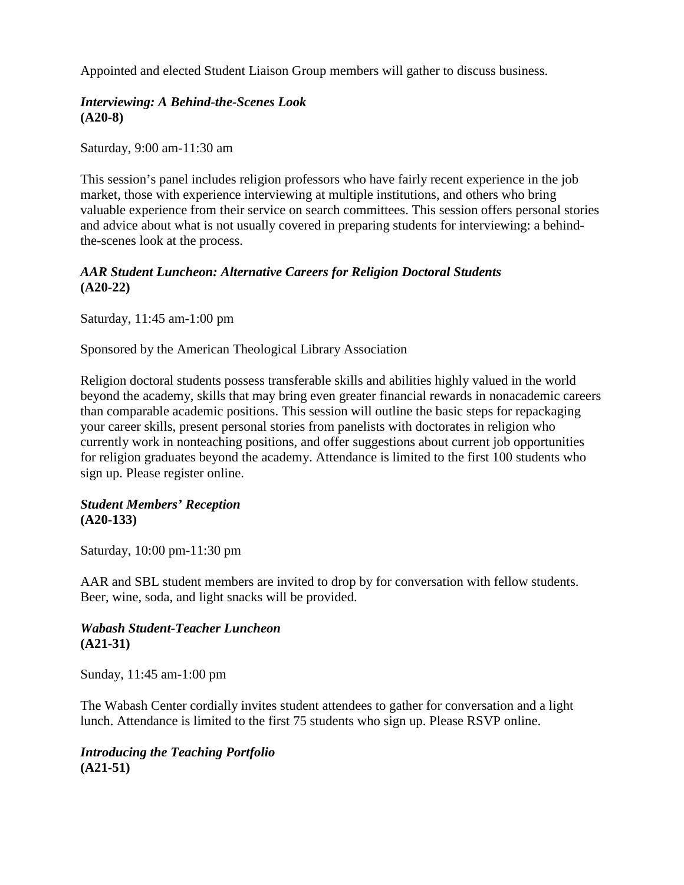Appointed and elected Student Liaison Group members will gather to discuss business.

### *Interviewing: A Behind-the-Scenes Look* **(A20-8)**

Saturday, 9:00 am-11:30 am

This session's panel includes religion professors who have fairly recent experience in the job market, those with experience interviewing at multiple institutions, and others who bring valuable experience from their service on search committees. This session offers personal stories and advice about what is not usually covered in preparing students for interviewing: a behindthe-scenes look at the process.

### *AAR Student Luncheon: Alternative Careers for Religion Doctoral Students* **(A20-22)**

Saturday, 11:45 am-1:00 pm

Sponsored by the American Theological Library Association

Religion doctoral students possess transferable skills and abilities highly valued in the world beyond the academy, skills that may bring even greater financial rewards in nonacademic careers than comparable academic positions. This session will outline the basic steps for repackaging your career skills, present personal stories from panelists with doctorates in religion who currently work in nonteaching positions, and offer suggestions about current job opportunities for religion graduates beyond the academy. Attendance is limited to the first 100 students who sign up. Please register online.

#### *Student Members' Reception* **(A20-133)**

Saturday, 10:00 pm-11:30 pm

AAR and SBL student members are invited to drop by for conversation with fellow students. Beer, wine, soda, and light snacks will be provided.

### *Wabash Student-Teacher Luncheon* **(A21-31)**

Sunday, 11:45 am-1:00 pm

The Wabash Center cordially invites student attendees to gather for conversation and a light lunch. Attendance is limited to the first 75 students who sign up. Please RSVP online.

# *Introducing the Teaching Portfolio* **(A21-51)**